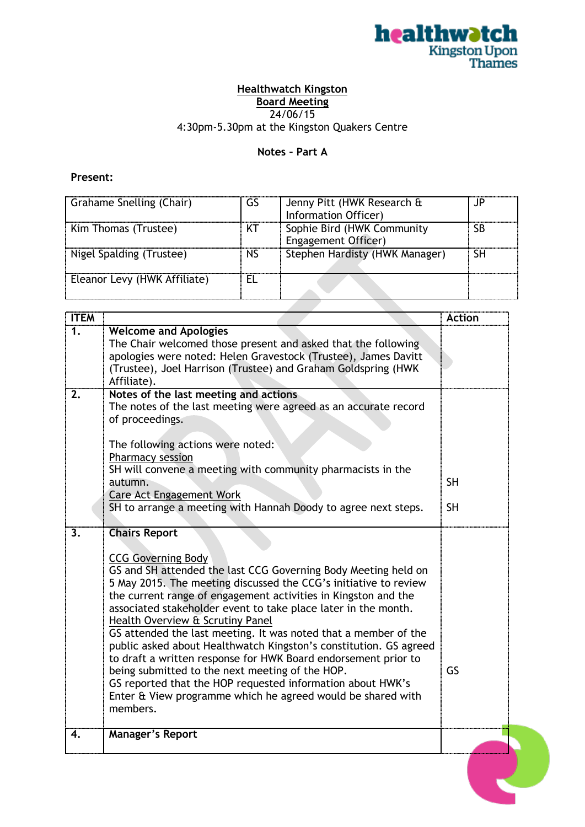

## **Healthwatch Kingston Board Meeting**

24/06/15

4:30pm-5.30pm at the Kingston Quakers Centre

## **Notes – Part A**

## **Present:**

| Grahame Snelling (Chair)     | GS        | Jenny Pitt (HWK Research &<br>Information Officer) | JP |
|------------------------------|-----------|----------------------------------------------------|----|
| Kim Thomas (Trustee)         | КT        | Sophie Bird (HWK Community<br>Engagement Officer)  | SB |
| Nigel Spalding (Trustee)     | <b>NS</b> | Stephen Hardisty (HWK Manager)                     | SН |
| Eleanor Levy (HWK Affiliate) |           |                                                    |    |

<u>a sa san</u>

**Contract** 

| <b>ITEM</b> |                                                                                                                                                                                                                                                                                                                                                                                                                                                                                                                                                                                                                                                                                                                                                                       | <b>Action</b>          |
|-------------|-----------------------------------------------------------------------------------------------------------------------------------------------------------------------------------------------------------------------------------------------------------------------------------------------------------------------------------------------------------------------------------------------------------------------------------------------------------------------------------------------------------------------------------------------------------------------------------------------------------------------------------------------------------------------------------------------------------------------------------------------------------------------|------------------------|
| 1.          | <b>Welcome and Apologies</b><br>The Chair welcomed those present and asked that the following<br>apologies were noted: Helen Gravestock (Trustee), James Davitt<br>(Trustee), Joel Harrison (Trustee) and Graham Goldspring (HWK<br>Affiliate).                                                                                                                                                                                                                                                                                                                                                                                                                                                                                                                       |                        |
| 2.          | Notes of the last meeting and actions<br>The notes of the last meeting were agreed as an accurate record<br>of proceedings.<br>The following actions were noted:<br>Pharmacy session<br>SH will convene a meeting with community pharmacists in the<br>autumn.<br><b>Care Act Engagement Work</b><br>SH to arrange a meeting with Hannah Doody to agree next steps.                                                                                                                                                                                                                                                                                                                                                                                                   | <b>SH</b><br><b>SH</b> |
| 3.          | <b>Chairs Report</b><br><b>CCG Governing Body</b><br>GS and SH attended the last CCG Governing Body Meeting held on<br>5 May 2015. The meeting discussed the CCG's initiative to review<br>the current range of engagement activities in Kingston and the<br>associated stakeholder event to take place later in the month.<br>Health Overview & Scrutiny Panel<br>GS attended the last meeting. It was noted that a member of the<br>public asked about Healthwatch Kingston's constitution. GS agreed<br>to draft a written response for HWK Board endorsement prior to<br>being submitted to the next meeting of the HOP.<br>GS reported that the HOP requested information about HWK's<br>Enter & View programme which he agreed would be shared with<br>members. | GS                     |
| 4.          | <b>Manager's Report</b>                                                                                                                                                                                                                                                                                                                                                                                                                                                                                                                                                                                                                                                                                                                                               |                        |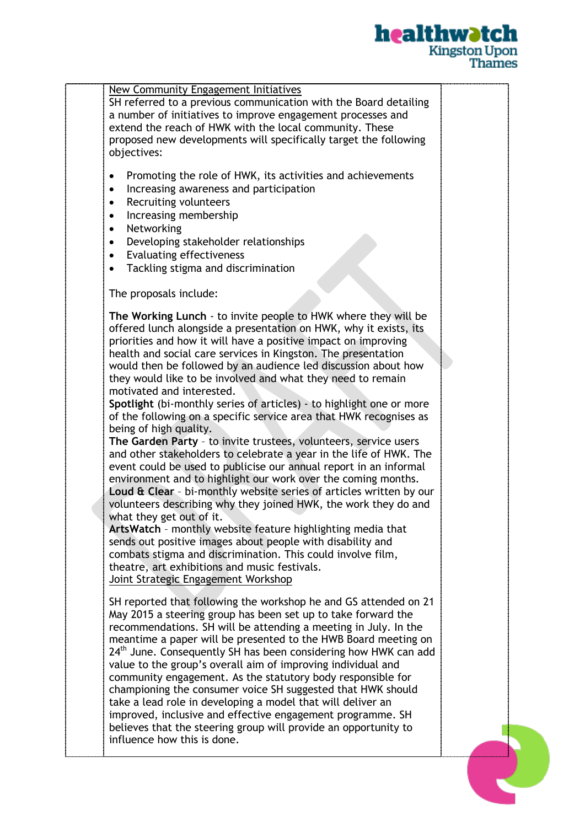

| SH referred to a previous communication with the Board detailing<br>a number of initiatives to improve engagement processes and             |  |
|---------------------------------------------------------------------------------------------------------------------------------------------|--|
| extend the reach of HWK with the local community. These                                                                                     |  |
| proposed new developments will specifically target the following                                                                            |  |
| objectives:                                                                                                                                 |  |
| Promoting the role of HWK, its activities and achievements<br>٠                                                                             |  |
| Increasing awareness and participation<br>٠                                                                                                 |  |
| Recruiting volunteers<br>$\bullet$                                                                                                          |  |
| Increasing membership<br>$\bullet$                                                                                                          |  |
| Networking<br>$\bullet$                                                                                                                     |  |
| Developing stakeholder relationships<br>$\bullet$                                                                                           |  |
| <b>Evaluating effectiveness</b><br>$\bullet$                                                                                                |  |
| Tackling stigma and discrimination<br>$\bullet$                                                                                             |  |
| The proposals include:                                                                                                                      |  |
| The Working Lunch - to invite people to HWK where they will be                                                                              |  |
| offered lunch alongside a presentation on HWK, why it exists, its                                                                           |  |
| priorities and how it will have a positive impact on improving                                                                              |  |
| health and social care services in Kingston. The presentation                                                                               |  |
| would then be followed by an audience led discussion about how                                                                              |  |
| they would like to be involved and what they need to remain<br>motivated and interested.                                                    |  |
| Spotlight (bi-monthly series of articles) - to highlight one or more                                                                        |  |
| of the following on a specific service area that HWK recognises as                                                                          |  |
| being of high quality.                                                                                                                      |  |
| The Garden Party - to invite trustees, volunteers, service users                                                                            |  |
| and other stakeholders to celebrate a year in the life of HWK. The                                                                          |  |
| event could be used to publicise our annual report in an informal<br>environment and to highlight our work over the coming months.          |  |
| Loud & Clear - bi-monthly website series of articles written by our                                                                         |  |
| volunteers describing why they joined HWK, the work they do and                                                                             |  |
| what they get out of it.                                                                                                                    |  |
| ArtsWatch - monthly website feature highlighting media that                                                                                 |  |
| sends out positive images about people with disability and                                                                                  |  |
| combats stigma and discrimination. This could involve film,<br>theatre, art exhibitions and music festivals.                                |  |
| Joint Strategic Engagement Workshop                                                                                                         |  |
| SH reported that following the workshop he and GS attended on 21                                                                            |  |
| May 2015 a steering group has been set up to take forward the                                                                               |  |
| recommendations. SH will be attending a meeting in July. In the                                                                             |  |
| meantime a paper will be presented to the HWB Board meeting on                                                                              |  |
| 24 <sup>th</sup> June. Consequently SH has been considering how HWK can add<br>value to the group's overall aim of improving individual and |  |
| community engagement. As the statutory body responsible for                                                                                 |  |
| championing the consumer voice SH suggested that HWK should                                                                                 |  |
| take a lead role in developing a model that will deliver an                                                                                 |  |
| improved, inclusive and effective engagement programme. SH                                                                                  |  |
| believes that the steering group will provide an opportunity to                                                                             |  |
| influence how this is done.                                                                                                                 |  |
|                                                                                                                                             |  |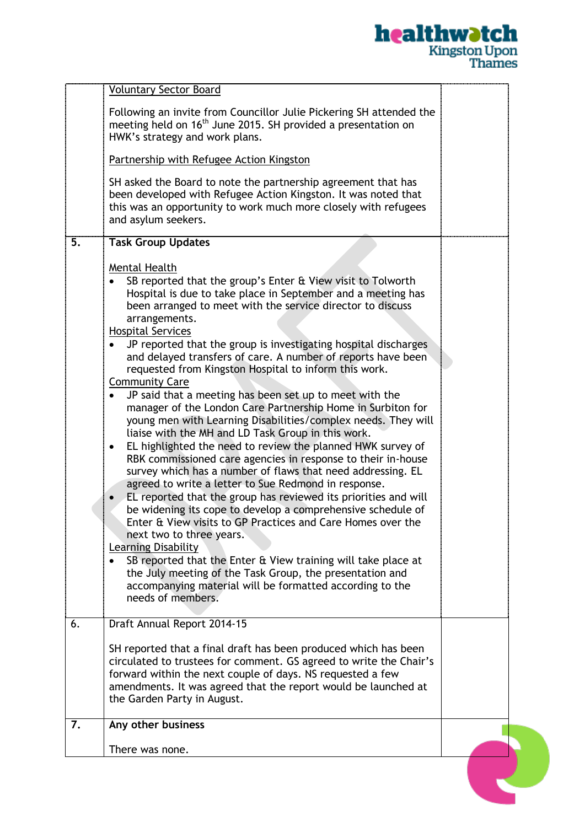|                                                                                                                                                                                                                                                                                                                                                                                                                                                                                                                                                                                                                                                                                                                                                                                                                                                                                                                                                                                                                                                                                                                                                                                                                                                                                                                                                                                                                                                       | <u>healthwətch</u><br><b>Kingston Upon</b><br><b>Thames</b> |
|-------------------------------------------------------------------------------------------------------------------------------------------------------------------------------------------------------------------------------------------------------------------------------------------------------------------------------------------------------------------------------------------------------------------------------------------------------------------------------------------------------------------------------------------------------------------------------------------------------------------------------------------------------------------------------------------------------------------------------------------------------------------------------------------------------------------------------------------------------------------------------------------------------------------------------------------------------------------------------------------------------------------------------------------------------------------------------------------------------------------------------------------------------------------------------------------------------------------------------------------------------------------------------------------------------------------------------------------------------------------------------------------------------------------------------------------------------|-------------------------------------------------------------|
| <b>Voluntary Sector Board</b>                                                                                                                                                                                                                                                                                                                                                                                                                                                                                                                                                                                                                                                                                                                                                                                                                                                                                                                                                                                                                                                                                                                                                                                                                                                                                                                                                                                                                         |                                                             |
| Following an invite from Councillor Julie Pickering SH attended the<br>meeting held on 16 <sup>th</sup> June 2015. SH provided a presentation on<br>HWK's strategy and work plans.                                                                                                                                                                                                                                                                                                                                                                                                                                                                                                                                                                                                                                                                                                                                                                                                                                                                                                                                                                                                                                                                                                                                                                                                                                                                    |                                                             |
| Partnership with Refugee Action Kingston                                                                                                                                                                                                                                                                                                                                                                                                                                                                                                                                                                                                                                                                                                                                                                                                                                                                                                                                                                                                                                                                                                                                                                                                                                                                                                                                                                                                              |                                                             |
| SH asked the Board to note the partnership agreement that has<br>been developed with Refugee Action Kingston. It was noted that<br>this was an opportunity to work much more closely with refugees<br>and asylum seekers.                                                                                                                                                                                                                                                                                                                                                                                                                                                                                                                                                                                                                                                                                                                                                                                                                                                                                                                                                                                                                                                                                                                                                                                                                             |                                                             |
| 5.<br><b>Task Group Updates</b>                                                                                                                                                                                                                                                                                                                                                                                                                                                                                                                                                                                                                                                                                                                                                                                                                                                                                                                                                                                                                                                                                                                                                                                                                                                                                                                                                                                                                       |                                                             |
| Mental Health<br>SB reported that the group's Enter & View visit to Tolworth<br>Hospital is due to take place in September and a meeting has<br>been arranged to meet with the service director to discuss<br>arrangements.<br><b>Hospital Services</b><br>JP reported that the group is investigating hospital discharges<br>and delayed transfers of care. A number of reports have been<br>requested from Kingston Hospital to inform this work.<br><b>Community Care</b><br>JP said that a meeting has been set up to meet with the<br>manager of the London Care Partnership Home in Surbiton for<br>young men with Learning Disabilities/complex needs. They will<br>liaise with the MH and LD Task Group in this work.<br>EL highlighted the need to review the planned HWK survey of<br>RBK commissioned care agencies in response to their in-house<br>survey which has a number of flaws that need addressing. EL<br>agreed to write a letter to Sue Redmond in response.<br>EL reported that the group has reviewed its priorities and will<br>be widening its cope to develop a comprehensive schedule of<br>Enter & View visits to GP Practices and Care Homes over the<br>next two to three years.<br>Learning Disability<br>SB reported that the Enter & View training will take place at<br>the July meeting of the Task Group, the presentation and<br>accompanying material will be formatted according to the<br>needs of members. |                                                             |
| 6.<br>Draft Annual Report 2014-15                                                                                                                                                                                                                                                                                                                                                                                                                                                                                                                                                                                                                                                                                                                                                                                                                                                                                                                                                                                                                                                                                                                                                                                                                                                                                                                                                                                                                     |                                                             |
| SH reported that a final draft has been produced which has been<br>circulated to trustees for comment. GS agreed to write the Chair's<br>forward within the next couple of days. NS requested a few<br>amendments. It was agreed that the report would be launched at<br>the Garden Party in August.                                                                                                                                                                                                                                                                                                                                                                                                                                                                                                                                                                                                                                                                                                                                                                                                                                                                                                                                                                                                                                                                                                                                                  |                                                             |
| Any other business<br>7.                                                                                                                                                                                                                                                                                                                                                                                                                                                                                                                                                                                                                                                                                                                                                                                                                                                                                                                                                                                                                                                                                                                                                                                                                                                                                                                                                                                                                              |                                                             |
|                                                                                                                                                                                                                                                                                                                                                                                                                                                                                                                                                                                                                                                                                                                                                                                                                                                                                                                                                                                                                                                                                                                                                                                                                                                                                                                                                                                                                                                       |                                                             |